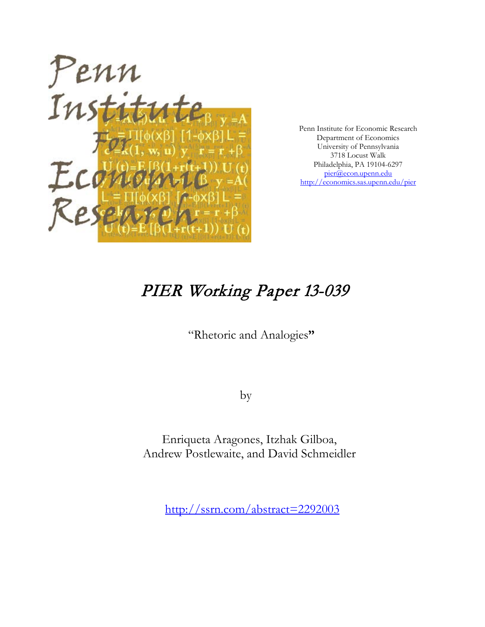

Penn Institute for Economic Research Department of Economics University of Pennsylvania 3718 Locust Walk Philadelphia, PA 19104-6297 [pier@econ.upenn.edu](mailto:pier@econ.upenn.edu) <http://economics.sas.upenn.edu/pier>

# PIER Working Paper 13-039

"Rhetoric and Analogies**"**

by

Enriqueta Aragones, Itzhak Gilboa, Andrew Postlewaite, and David Schmeidler

[http://ssrn.com/abstract=2](http://ssrn.com/abstract_id=)292003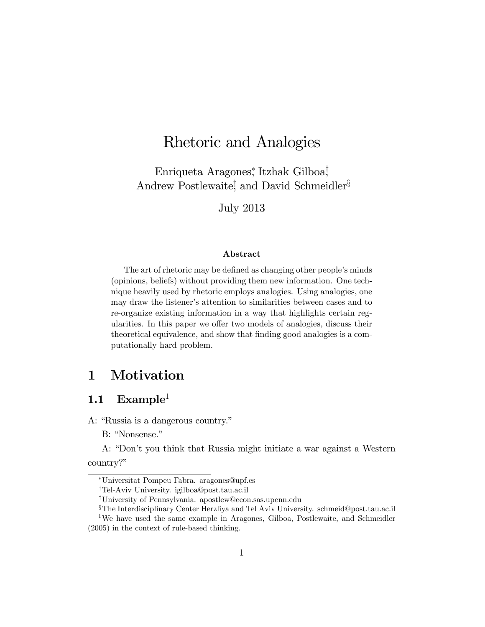## Rhetoric and Analogies

Enriqueta Aragones,<sup>\*</sup> Itzhak Gilboa<sup>†</sup>, Andrew Postlewaite<sup>†</sup>, and David Schmeidler<sup>§</sup>

July 2013

#### Abstract

The art of rhetoric may be defined as changing other people's minds (opinions, beliefs) without providing them new information. One technique heavily used by rhetoric employs analogies. Using analogies, one may draw the listener's attention to similarities between cases and to re-organize existing information in a way that highlights certain regularities. In this paper we offer two models of analogies, discuss their theoretical equivalence, and show that finding good analogies is a computationally hard problem.

## 1 Motivation

### 1.1  $Example<sup>1</sup>$

A: "Russia is a dangerous country."

B: "Nonsense."

A: "Don't you think that Russia might initiate a war against a Western country?"

Universitat Pompeu Fabra. aragones@upf.es

<sup>&</sup>lt;sup>†</sup>Tel-Aviv University. igilboa@post.tau.ac.il

<sup>z</sup>University of Pennsylvania. apostlew@econ.sas.upenn.edu

 $\S$ The Interdisciplinary Center Herzliya and Tel Aviv University. schmeid@post.tau.ac.il <sup>1</sup>We have used the same example in Aragones, Gilboa, Postlewaite, and Schmeidler (2005) in the context of rule-based thinking.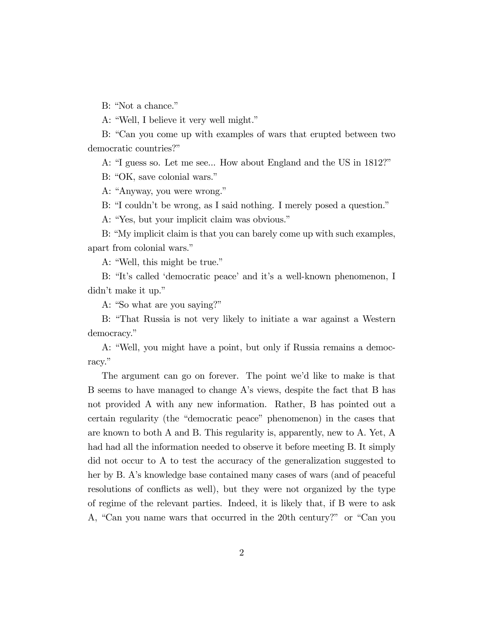B: "Not a chance."

A: "Well, I believe it very well might."

B: "Can you come up with examples of wars that erupted between two democratic countries?"

A: "I guess so. Let me see... How about England and the US in 1812?"

B: "OK, save colonial wars."

A: "Anyway, you were wrong."

B: "I couldn't be wrong, as I said nothing. I merely posed a question."

A: "Yes, but your implicit claim was obvious."

B: "My implicit claim is that you can barely come up with such examples, apart from colonial wars."

A: "Well, this might be true."

B: "It's called 'democratic peace' and it's a well-known phenomenon, I didn't make it up."

A: "So what are you saying?"

B: "That Russia is not very likely to initiate a war against a Western democracy."

A: "Well, you might have a point, but only if Russia remains a democracy."

The argument can go on forever. The point we'd like to make is that B seems to have managed to change Aís views, despite the fact that B has not provided A with any new information. Rather, B has pointed out a certain regularity (the "democratic peace" phenomenon) in the cases that are known to both A and B. This regularity is, apparently, new to A. Yet, A had had all the information needed to observe it before meeting B. It simply did not occur to A to test the accuracy of the generalization suggested to her by B. Aís knowledge base contained many cases of wars (and of peaceful resolutions of conflicts as well), but they were not organized by the type of regime of the relevant parties. Indeed, it is likely that, if B were to ask A, "Can you name wars that occurred in the 20th century?" or "Can you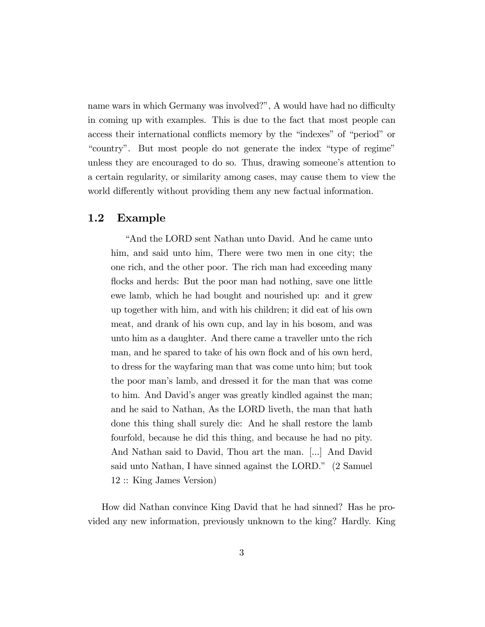name wars in which Germany was involved?", A would have had no difficulty in coming up with examples. This is due to the fact that most people can access their international conflicts memory by the "indexes" of "period" or "country". But most people do not generate the index "type of regime" unless they are encouraged to do so. Thus, drawing someone's attention to a certain regularity, or similarity among cases, may cause them to view the world differently without providing them any new factual information.

#### 1.2 Example

"And the LORD sent Nathan unto David. And he came unto him, and said unto him, There were two men in one city; the one rich, and the other poor. The rich man had exceeding many flocks and herds: But the poor man had nothing, save one little ewe lamb, which he had bought and nourished up: and it grew up together with him, and with his children; it did eat of his own meat, and drank of his own cup, and lay in his bosom, and was unto him as a daughter. And there came a traveller unto the rich man, and he spared to take of his own flock and of his own herd, to dress for the wayfaring man that was come unto him; but took the poor manís lamb, and dressed it for the man that was come to him. And David's anger was greatly kindled against the man; and he said to Nathan, As the LORD liveth, the man that hath done this thing shall surely die: And he shall restore the lamb fourfold, because he did this thing, and because he had no pity. And Nathan said to David, Thou art the man. [...] And David said unto Nathan, I have sinned against the LORD." (2 Samuel 12 :: King James Version)

How did Nathan convince King David that he had sinned? Has he provided any new information, previously unknown to the king? Hardly. King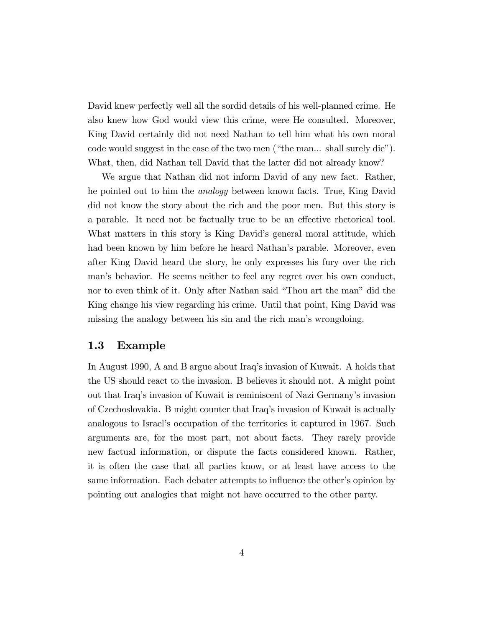David knew perfectly well all the sordid details of his well-planned crime. He also knew how God would view this crime, were He consulted. Moreover, King David certainly did not need Nathan to tell him what his own moral code would suggest in the case of the two men ("the man... shall surely die"). What, then, did Nathan tell David that the latter did not already know?

We argue that Nathan did not inform David of any new fact. Rather, he pointed out to him the analogy between known facts. True, King David did not know the story about the rich and the poor men. But this story is a parable. It need not be factually true to be an effective rhetorical tool. What matters in this story is King David's general moral attitude, which had been known by him before he heard Nathan's parable. Moreover, even after King David heard the story, he only expresses his fury over the rich manís behavior. He seems neither to feel any regret over his own conduct, nor to even think of it. Only after Nathan said "Thou art the man" did the King change his view regarding his crime. Until that point, King David was missing the analogy between his sin and the rich man's wrongdoing.

#### 1.3 Example

In August 1990, A and B argue about Iraqís invasion of Kuwait. A holds that the US should react to the invasion. B believes it should not. A might point out that Iraq's invasion of Kuwait is reminiscent of Nazi Germany's invasion of Czechoslovakia. B might counter that Iraqís invasion of Kuwait is actually analogous to Israel's occupation of the territories it captured in 1967. Such arguments are, for the most part, not about facts. They rarely provide new factual information, or dispute the facts considered known. Rather, it is often the case that all parties know, or at least have access to the same information. Each debater attempts to influence the other's opinion by pointing out analogies that might not have occurred to the other party.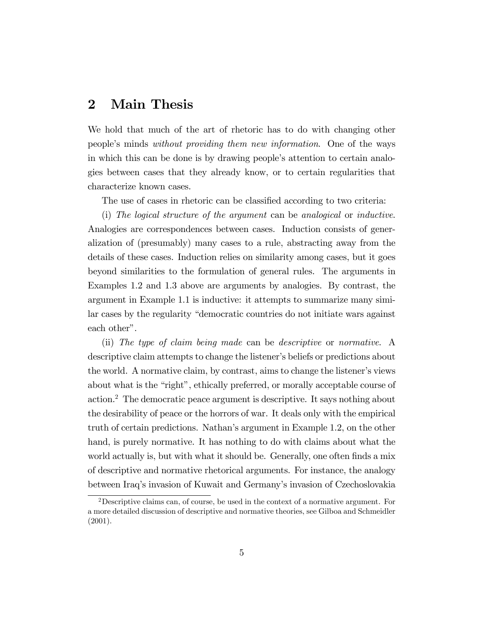### 2 Main Thesis

We hold that much of the art of rhetoric has to do with changing other people's minds without providing them new information. One of the ways in which this can be done is by drawing people's attention to certain analogies between cases that they already know, or to certain regularities that characterize known cases.

The use of cases in rhetoric can be classified according to two criteria:

(i) The logical structure of the argument can be analogical or inductive. Analogies are correspondences between cases. Induction consists of generalization of (presumably) many cases to a rule, abstracting away from the details of these cases. Induction relies on similarity among cases, but it goes beyond similarities to the formulation of general rules. The arguments in Examples 1.2 and 1.3 above are arguments by analogies. By contrast, the argument in Example 1.1 is inductive: it attempts to summarize many similar cases by the regularity "democratic countries do not initiate wars against each other".

(ii) The type of claim being made can be descriptive or normative. A descriptive claim attempts to change the listener's beliefs or predictions about the world. A normative claim, by contrast, aims to change the listener's views about what is the "right", ethically preferred, or morally acceptable course of action.<sup>2</sup> The democratic peace argument is descriptive. It says nothing about the desirability of peace or the horrors of war. It deals only with the empirical truth of certain predictions. Nathanís argument in Example 1.2, on the other hand, is purely normative. It has nothing to do with claims about what the world actually is, but with what it should be. Generally, one often finds a mix of descriptive and normative rhetorical arguments. For instance, the analogy between Iraqís invasion of Kuwait and Germanyís invasion of Czechoslovakia

<sup>2</sup>Descriptive claims can, of course, be used in the context of a normative argument. For a more detailed discussion of descriptive and normative theories, see Gilboa and Schmeidler (2001).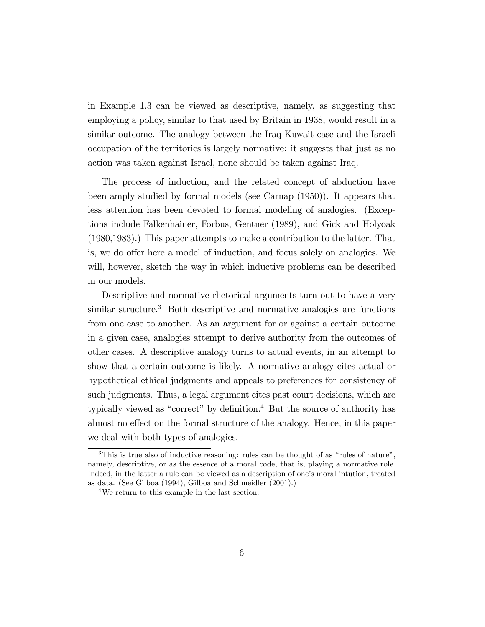in Example 1.3 can be viewed as descriptive, namely, as suggesting that employing a policy, similar to that used by Britain in 1938, would result in a similar outcome. The analogy between the Iraq-Kuwait case and the Israeli occupation of the territories is largely normative: it suggests that just as no action was taken against Israel, none should be taken against Iraq.

The process of induction, and the related concept of abduction have been amply studied by formal models (see Carnap (1950)). It appears that less attention has been devoted to formal modeling of analogies. (Exceptions include Falkenhainer, Forbus, Gentner (1989), and Gick and Holyoak (1980,1983).) This paper attempts to make a contribution to the latter. That is, we do offer here a model of induction, and focus solely on analogies. We will, however, sketch the way in which inductive problems can be described in our models.

Descriptive and normative rhetorical arguments turn out to have a very similar structure.<sup>3</sup> Both descriptive and normative analogies are functions from one case to another. As an argument for or against a certain outcome in a given case, analogies attempt to derive authority from the outcomes of other cases. A descriptive analogy turns to actual events, in an attempt to show that a certain outcome is likely. A normative analogy cites actual or hypothetical ethical judgments and appeals to preferences for consistency of such judgments. Thus, a legal argument cites past court decisions, which are typically viewed as "correct" by definition.<sup>4</sup> But the source of authority has almost no effect on the formal structure of the analogy. Hence, in this paper we deal with both types of analogies.

 $3$ This is true also of inductive reasoning: rules can be thought of as "rules of nature", namely, descriptive, or as the essence of a moral code, that is, playing a normative role. Indeed, in the latter a rule can be viewed as a description of one's moral intution, treated as data. (See Gilboa (1994), Gilboa and Schmeidler (2001).)

<sup>4</sup>We return to this example in the last section.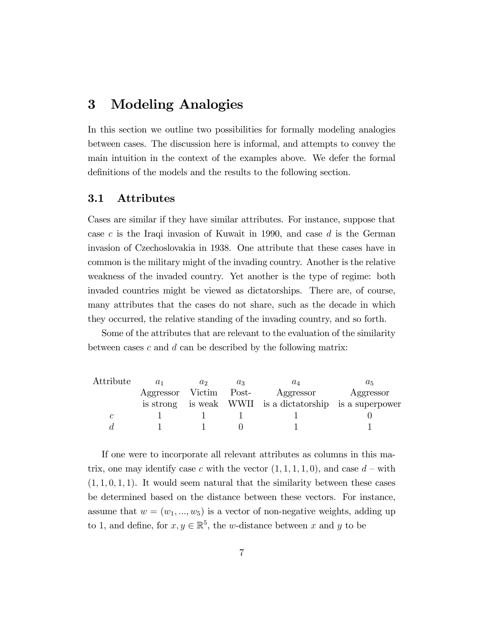## 3 Modeling Analogies

In this section we outline two possibilities for formally modeling analogies between cases. The discussion here is informal, and attempts to convey the main intuition in the context of the examples above. We defer the formal definitions of the models and the results to the following section.

#### 3.1 Attributes

Cases are similar if they have similar attributes. For instance, suppose that case c is the Iraqi invasion of Kuwait in 1990, and case d is the German invasion of Czechoslovakia in 1938. One attribute that these cases have in common is the military might of the invading country. Another is the relative weakness of the invaded country. Yet another is the type of regime: both invaded countries might be viewed as dictatorships. There are, of course, many attributes that the cases do not share, such as the decade in which they occurred, the relative standing of the invading country, and so forth.

Some of the attributes that are relevant to the evaluation of the similarity between cases  $c$  and  $d$  can be described by the following matrix:

| Attribute  | A1                     | $a_2$ | $u_3$ | $a_4$                                          | $a_{5}$   |
|------------|------------------------|-------|-------|------------------------------------------------|-----------|
|            | Aggressor Victim Post- |       |       | Aggressor                                      | Aggressor |
|            | is strong              |       |       | is weak WWII is a dictatorship is a superpower |           |
| $\epsilon$ |                        |       |       |                                                |           |
|            |                        |       |       |                                                |           |

If one were to incorporate all relevant attributes as columns in this matrix, one may identify case c with the vector  $(1, 1, 1, 1, 0)$ , and case  $d$  – with  $(1, 1, 0, 1, 1)$ . It would seem natural that the similarity between these cases be determined based on the distance between these vectors. For instance, assume that  $w = (w_1, ..., w_5)$  is a vector of non-negative weights, adding up to 1, and define, for  $x, y \in \mathbb{R}^5$ , the w-distance between x and y to be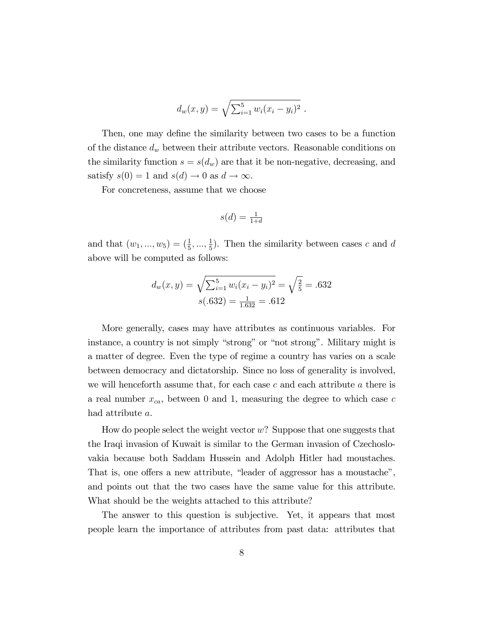$$
d_w(x, y) = \sqrt{\sum_{i=1}^5 w_i (x_i - y_i)^2}.
$$

Then, one may define the similarity between two cases to be a function of the distance  $d_w$  between their attribute vectors. Reasonable conditions on the similarity function  $s = s(d_w)$  are that it be non-negative, decreasing, and satisfy  $s(0) = 1$  and  $s(d) \rightarrow 0$  as  $d \rightarrow \infty$ .

For concreteness, assume that we choose

$$
s(d) = \frac{1}{1+d}
$$

and that  $(w_1, ..., w_5) = (\frac{1}{5}, ..., \frac{1}{5})$  $\frac{1}{5}$ ). Then the similarity between cases c and d above will be computed as follows:

$$
d_w(x, y) = \sqrt{\sum_{i=1}^5 w_i (x_i - y_i)^2} = \sqrt{\frac{2}{5}} = .632
$$

$$
s(.632) = \frac{1}{1.632} = .612
$$

More generally, cases may have attributes as continuous variables. For instance, a country is not simply "strong" or "not strong". Military might is a matter of degree. Even the type of regime a country has varies on a scale between democracy and dictatorship. Since no loss of generality is involved, we will henceforth assume that, for each case  $c$  and each attribute  $a$  there is a real number  $x_{ca}$ , between 0 and 1, measuring the degree to which case c had attribute a.

How do people select the weight vector  $w$ ? Suppose that one suggests that the Iraqi invasion of Kuwait is similar to the German invasion of Czechoslovakia because both Saddam Hussein and Adolph Hitler had moustaches. That is, one offers a new attribute, "leader of aggressor has a moustache", and points out that the two cases have the same value for this attribute. What should be the weights attached to this attribute?

The answer to this question is subjective. Yet, it appears that most people learn the importance of attributes from past data: attributes that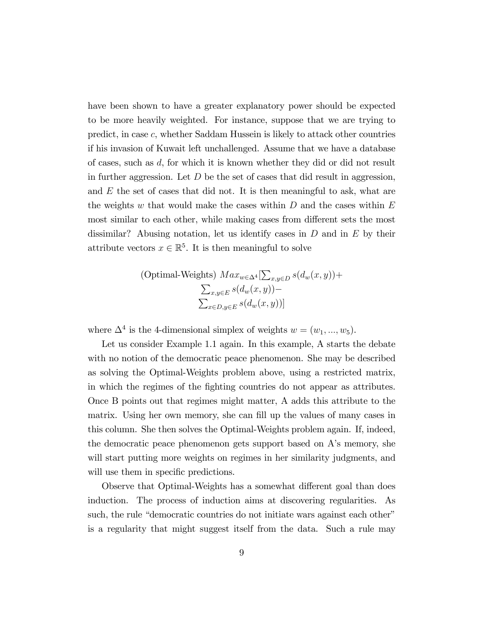have been shown to have a greater explanatory power should be expected to be more heavily weighted. For instance, suppose that we are trying to predict, in case c, whether Saddam Hussein is likely to attack other countries if his invasion of Kuwait left unchallenged. Assume that we have a database of cases, such as d, for which it is known whether they did or did not result in further aggression. Let  $D$  be the set of cases that did result in aggression, and  $E$  the set of cases that did not. It is then meaningful to ask, what are the weights w that would make the cases within  $D$  and the cases within  $E$ most similar to each other, while making cases from different sets the most dissimilar? Abusing notation, let us identify cases in  $D$  and in  $E$  by their attribute vectors  $x \in \mathbb{R}^5$ . It is then meaningful to solve

(Optimal-Weights) 
$$
Max_{w \in \Delta^4}[\sum_{x,y \in D} s(d_w(x,y)) + \sum_{x,y \in E} s(d_w(x,y)) - \sum_{x \in D, y \in E} s(d_w(x,y))]
$$

where  $\Delta^4$  is the 4-dimensional simplex of weights  $w = (w_1, ..., w_5)$ .

Let us consider Example 1.1 again. In this example, A starts the debate with no notion of the democratic peace phenomenon. She may be described as solving the Optimal-Weights problem above, using a restricted matrix, in which the regimes of the fighting countries do not appear as attributes. Once B points out that regimes might matter, A adds this attribute to the matrix. Using her own memory, she can fill up the values of many cases in this column. She then solves the Optimal-Weights problem again. If, indeed, the democratic peace phenomenon gets support based on A's memory, she will start putting more weights on regimes in her similarity judgments, and will use them in specific predictions.

Observe that Optimal-Weights has a somewhat different goal than does induction. The process of induction aims at discovering regularities. As such, the rule "democratic countries do not initiate wars against each other" is a regularity that might suggest itself from the data. Such a rule may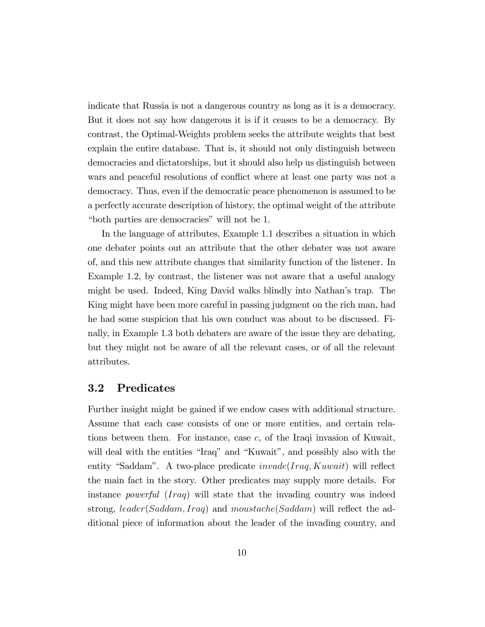indicate that Russia is not a dangerous country as long as it is a democracy. But it does not say how dangerous it is if it ceases to be a democracy. By contrast, the Optimal-Weights problem seeks the attribute weights that best explain the entire database. That is, it should not only distinguish between democracies and dictatorships, but it should also help us distinguish between wars and peaceful resolutions of conflict where at least one party was not a democracy. Thus, even if the democratic peace phenomenon is assumed to be a perfectly accurate description of history, the optimal weight of the attribute "both parties are democracies" will not be 1.

In the language of attributes, Example 1.1 describes a situation in which one debater points out an attribute that the other debater was not aware of, and this new attribute changes that similarity function of the listener. In Example 1.2, by contrast, the listener was not aware that a useful analogy might be used. Indeed, King David walks blindly into Nathanís trap. The King might have been more careful in passing judgment on the rich man, had he had some suspicion that his own conduct was about to be discussed. Finally, in Example 1.3 both debaters are aware of the issue they are debating, but they might not be aware of all the relevant cases, or of all the relevant attributes.

#### 3.2 Predicates

Further insight might be gained if we endow cases with additional structure. Assume that each case consists of one or more entities, and certain relations between them. For instance, case c, of the Iraqi invasion of Kuwait, will deal with the entities "Iraq" and "Kuwait", and possibly also with the entity "Saddam". A two-place predicate  $invade(Traq, Kuwait)$  will reflect the main fact in the story. Other predicates may supply more details. For instance *powerful*  $(Iraq)$  will state that the invading country was indeed strong, leader(Saddam, Iraq) and moustache(Saddam) will reflect the additional piece of information about the leader of the invading country, and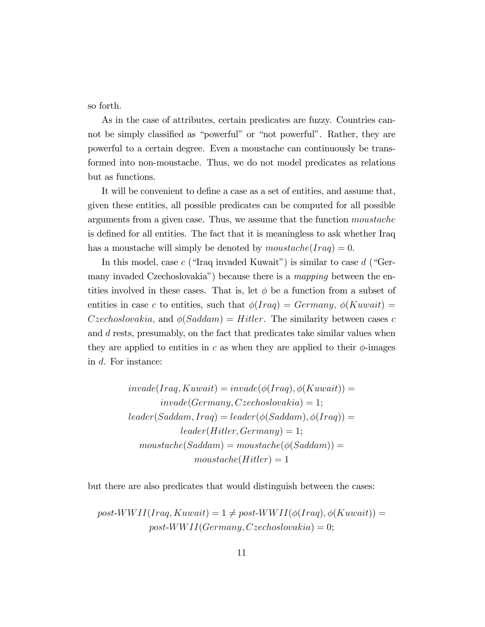so forth.

As in the case of attributes, certain predicates are fuzzy. Countries cannot be simply classified as "powerful" or "not powerful". Rather, they are powerful to a certain degree. Even a moustache can continuously be transformed into non-moustache. Thus, we do not model predicates as relations but as functions.

It will be convenient to define a case as a set of entities, and assume that, given these entities, all possible predicates can be computed for all possible arguments from a given case. Thus, we assume that the function moustache is defined for all entities. The fact that it is meaningless to ask whether Iraq has a moustache will simply be denoted by  $moustache( Iraq) = 0$ .

In this model, case c ("Iraq invaded Kuwait") is similar to case  $d$  ("Germany invaded Czechoslovakia") because there is a *mapping* between the entities involved in these cases. That is, let  $\phi$  be a function from a subset of entities in case c to entities, such that  $\phi(Iraq) = Germany$ ,  $\phi(Kuwait) =$ Czechoslovakia, and  $\phi(Saddam) = Hitler$ . The similarity between cases c and d rests, presumably, on the fact that predicates take similar values when they are applied to entities in c as when they are applied to their  $\phi$ -images in d. For instance:

$$
invade(Traq, Kuwait) = invade(\phi(Traq), \phi(Kuwait)) =
$$

$$
invade(Germany, Czechoslovakia) = 1;
$$

$$
leader(Saddam, Iraq) = leader(\phi(Saddam), \phi(Traq)) =
$$

$$
leader(Hitler, Germany) = 1;
$$

$$
moustache(Saddam) = moustache(\phi(Saddam)) =
$$

$$
moustache(Hitler) = 1
$$

but there are also predicates that would distinguish between the cases:

$$
post-WWII( Iraq, Kuwait) = 1 \neq post-WWII(\phi( Iraq), \phi(Kuwait)) =
$$

$$
post-WWII(Germany, Czechoslovakia) = 0;
$$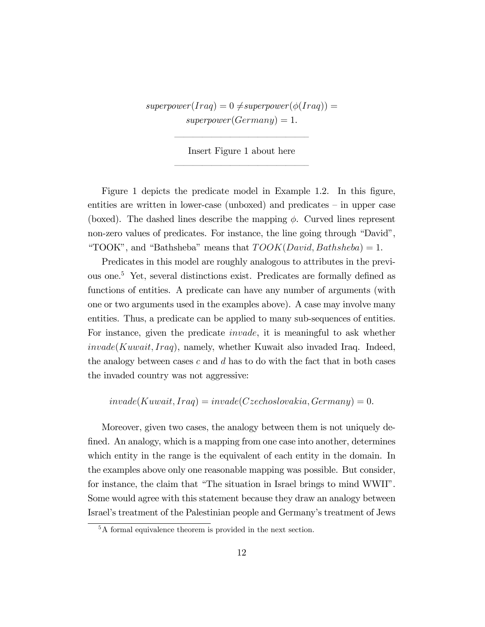$superpower( Iraq) = 0 \neq superpower(\phi(Traq)) =$  $superpower(Germany) = 1.$ 

> ó ó ó ó ó ó ó ó ó ó ó ó ó ó ñ Insert Figure 1 about here ó ó ó ó ó ó ó ó ó ó ó ó ó ó ñ

Figure 1 depicts the predicate model in Example 1.2. In this figure, entities are written in lower-case (unboxed) and predicates  $-$  in upper case (boxed). The dashed lines describe the mapping  $\phi$ . Curved lines represent non-zero values of predicates. For instance, the line going through "David", "TOOK", and "Bathsheba" means that  $TOOK(David, Bathsheba) = 1$ .

Predicates in this model are roughly analogous to attributes in the previous one.<sup>5</sup> Yet, several distinctions exist. Predicates are formally defined as functions of entities. A predicate can have any number of arguments (with one or two arguments used in the examples above). A case may involve many entities. Thus, a predicate can be applied to many sub-sequences of entities. For instance, given the predicate invade, it is meaningful to ask whether  $invade(Kuwait, Iraq)$ , namely, whether Kuwait also invaded Iraq. Indeed, the analogy between cases  $c$  and  $d$  has to do with the fact that in both cases the invaded country was not aggressive:

 $invade(Kuwait, Iraq) = invade(Czechoslovakia, Germany) = 0.$ 

Moreover, given two cases, the analogy between them is not uniquely defined. An analogy, which is a mapping from one case into another, determines which entity in the range is the equivalent of each entity in the domain. In the examples above only one reasonable mapping was possible. But consider, for instance, the claim that "The situation in Israel brings to mind WWII". Some would agree with this statement because they draw an analogy between Israelís treatment of the Palestinian people and Germanyís treatment of Jews

<sup>&</sup>lt;sup>5</sup>A formal equivalence theorem is provided in the next section.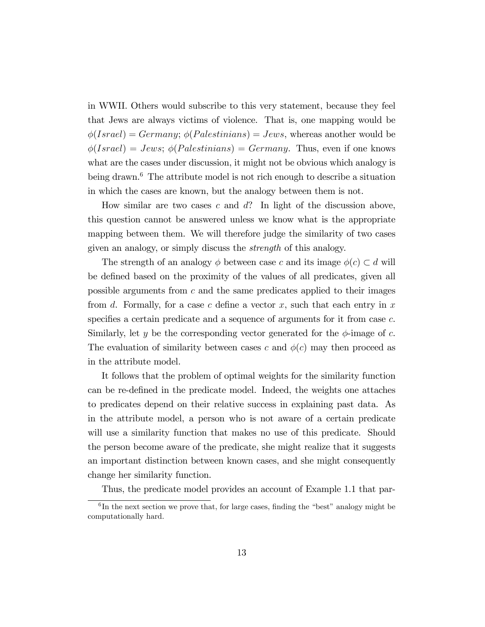in WWII. Others would subscribe to this very statement, because they feel that Jews are always victims of violence. That is, one mapping would be  $\phi(Israel) = Germany; \phi(Palestinians) = Jews$ , whereas another would be  $\phi(Israel) = Jews; \phi(Palestinians) = Germany.$  Thus, even if one knows what are the cases under discussion, it might not be obvious which analogy is being drawn.<sup>6</sup> The attribute model is not rich enough to describe a situation in which the cases are known, but the analogy between them is not.

How similar are two cases  $c$  and  $d$ ? In light of the discussion above, this question cannot be answered unless we know what is the appropriate mapping between them. We will therefore judge the similarity of two cases given an analogy, or simply discuss the strength of this analogy.

The strength of an analogy  $\phi$  between case c and its image  $\phi(c) \subset d$  will be deÖned based on the proximity of the values of all predicates, given all possible arguments from  $c$  and the same predicates applied to their images from d. Formally, for a case c define a vector  $x$ , such that each entry in  $x$ specifies a certain predicate and a sequence of arguments for it from case  $c$ . Similarly, let y be the corresponding vector generated for the  $\phi$ -image of c. The evaluation of similarity between cases c and  $\phi(c)$  may then proceed as in the attribute model.

It follows that the problem of optimal weights for the similarity function can be re-defined in the predicate model. Indeed, the weights one attaches to predicates depend on their relative success in explaining past data. As in the attribute model, a person who is not aware of a certain predicate will use a similarity function that makes no use of this predicate. Should the person become aware of the predicate, she might realize that it suggests an important distinction between known cases, and she might consequently change her similarity function.

Thus, the predicate model provides an account of Example 1.1 that par-

 ${}^{6}$ In the next section we prove that, for large cases, finding the "best" analogy might be computationally hard.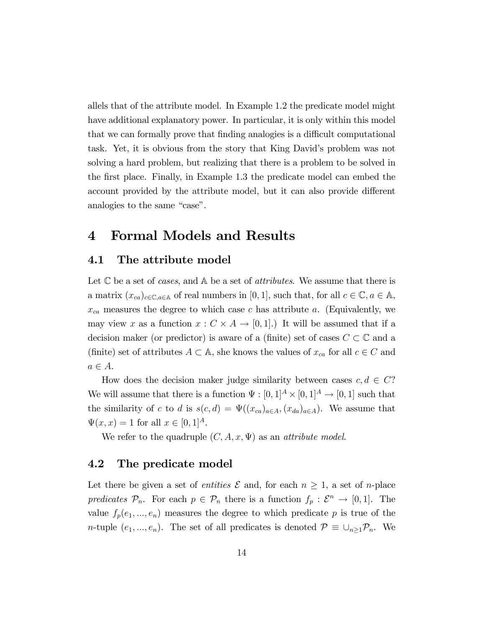allels that of the attribute model. In Example 1.2 the predicate model might have additional explanatory power. In particular, it is only within this model that we can formally prove that finding analogies is a difficult computational task. Yet, it is obvious from the story that King Davidís problem was not solving a hard problem, but realizing that there is a problem to be solved in the first place. Finally, in Example 1.3 the predicate model can embed the account provided by the attribute model, but it can also provide different analogies to the same "case".

## 4 Formal Models and Results

#### 4.1 The attribute model

Let  $\mathbb C$  be a set of *cases*, and  $\mathbb A$  be a set of *attributes*. We assume that there is a matrix  $(x_{ca})_{c \in \mathbb{C}, a \in \mathbb{A}}$  of real numbers in [0, 1], such that, for all  $c \in \mathbb{C}, a \in \mathbb{A}$ ,  $x_{ca}$  measures the degree to which case c has attribute a. (Equivalently, we may view x as a function  $x : C \times A \rightarrow [0, 1]$ .) It will be assumed that if a decision maker (or predictor) is aware of a (finite) set of cases  $C \subset \mathbb{C}$  and a (finite) set of attributes  $A \subset \mathbb{A}$ , she knows the values of  $x_{ca}$  for all  $c \in C$  and  $a \in A$ .

How does the decision maker judge similarity between cases  $c, d \in C$ ? We will assume that there is a function  $\Psi : [0,1]^A \times [0,1]^A \to [0,1]$  such that the similarity of c to d is  $s(c,d) = \Psi((x_{ca})_{a \in A}, (x_{da})_{a \in A})$ . We assume that  $\Psi(x, x) = 1$  for all  $x \in [0, 1]^A$ .

We refer to the quadruple  $(C, A, x, \Psi)$  as an *attribute model*.

#### 4.2 The predicate model

Let there be given a set of *entities*  $\mathcal E$  and, for each  $n \geq 1$ , a set of *n*-place predicates  $\mathcal{P}_n$ . For each  $p \in \mathcal{P}_n$  there is a function  $f_p : \mathcal{E}^n \to [0,1]$ . The value  $f_p(e_1, ..., e_n)$  measures the degree to which predicate p is true of the *n*-tuple  $(e_1, ..., e_n)$ . The set of all predicates is denoted  $P \equiv \bigcup_{n\geq 1} P_n$ . We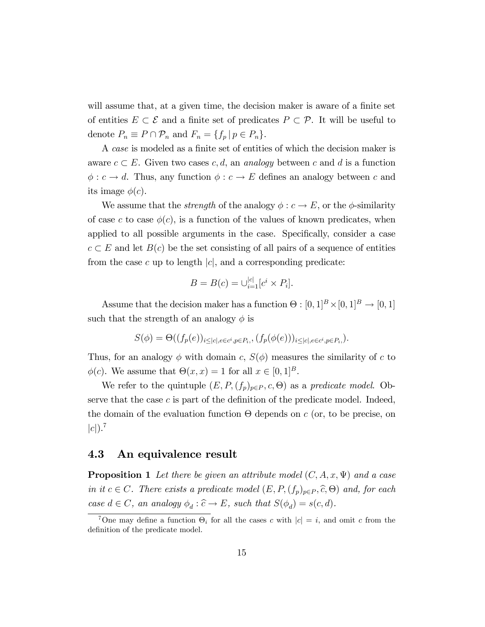will assume that, at a given time, the decision maker is aware of a finite set of entities  $E \subset \mathcal{E}$  and a finite set of predicates  $P \subset \mathcal{P}$ . It will be useful to denote  $P_n \equiv P \cap \mathcal{P}_n$  and  $F_n = \{f_p \mid p \in P_n\}.$ 

A case is modeled as a finite set of entities of which the decision maker is aware  $c \subset E$ . Given two cases c, d, an analogy between c and d is a function  $\phi : c \to d$ . Thus, any function  $\phi : c \to E$  defines an analogy between c and its image  $\phi(c)$ .

We assume that the *strength* of the analogy  $\phi : c \to E$ , or the  $\phi$ -similarity of case c to case  $\phi(c)$ , is a function of the values of known predicates, when applied to all possible arguments in the case. Specifically, consider a case  $c \subset E$  and let  $B(c)$  be the set consisting of all pairs of a sequence of entities from the case c up to length  $|c|$ , and a corresponding predicate:

$$
B = B(c) = \bigcup_{i=1}^{|c|} [c^i \times P_i].
$$

Assume that the decision maker has a function  $\Theta : [0, 1]^B \times [0, 1]^B \to [0, 1]$ such that the strength of an analogy  $\phi$  is

$$
S(\phi) = \Theta((f_p(e))_{i \leq |c|, e \in c^i, p \in P_i}, (f_p(\phi(e)))_{i \leq |c|, e \in c^i, p \in P_i}).
$$

Thus, for an analogy  $\phi$  with domain c,  $S(\phi)$  measures the similarity of c to  $\phi(c)$ . We assume that  $\Theta(x, x) = 1$  for all  $x \in [0, 1]^B$ .

We refer to the quintuple  $(E, P, (f_p)_{p \in P}, c, \Theta)$  as a predicate model. Observe that the case  $c$  is part of the definition of the predicate model. Indeed, the domain of the evaluation function  $\Theta$  depends on c (or, to be precise, on  $|c|$ ).<sup>7</sup>

#### 4.3 An equivalence result

**Proposition 1** Let there be given an attribute model  $(C, A, x, \Psi)$  and a case in it  $c \in C$ . There exists a predicate model  $(E, P, (f_p)_{p \in P}, \hat{c}, \Theta)$  and, for each case  $d \in C$ , an analogy  $\phi_d : \widehat{c} \to E$ , such that  $S(\phi_d) = s(c, d)$ .

<sup>&</sup>lt;sup>7</sup>One may define a function  $\Theta_i$  for all the cases c with  $|c| = i$ , and omit c from the definition of the predicate model.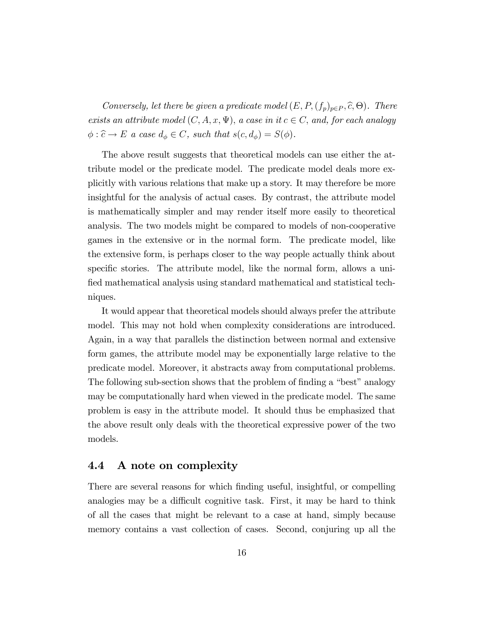Conversely, let there be given a predicate model  $(E, P, (f_p)_{p \in P}, \widehat{c}, \Theta)$ . There exists an attribute model  $(C, A, x, \Psi)$ , a case in it  $c \in C$ , and, for each analogy  $\phi: \widehat{c} \to E$  a case  $d_{\phi} \in C$ , such that  $s(c, d_{\phi}) = S(\phi)$ .

The above result suggests that theoretical models can use either the attribute model or the predicate model. The predicate model deals more explicitly with various relations that make up a story. It may therefore be more insightful for the analysis of actual cases. By contrast, the attribute model is mathematically simpler and may render itself more easily to theoretical analysis. The two models might be compared to models of non-cooperative games in the extensive or in the normal form. The predicate model, like the extensive form, is perhaps closer to the way people actually think about specific stories. The attribute model, like the normal form, allows a uni-Öed mathematical analysis using standard mathematical and statistical techniques.

It would appear that theoretical models should always prefer the attribute model. This may not hold when complexity considerations are introduced. Again, in a way that parallels the distinction between normal and extensive form games, the attribute model may be exponentially large relative to the predicate model. Moreover, it abstracts away from computational problems. The following sub-section shows that the problem of finding a "best" analogy may be computationally hard when viewed in the predicate model. The same problem is easy in the attribute model. It should thus be emphasized that the above result only deals with the theoretical expressive power of the two models.

#### 4.4 A note on complexity

There are several reasons for which Önding useful, insightful, or compelling analogies may be a difficult cognitive task. First, it may be hard to think of all the cases that might be relevant to a case at hand, simply because memory contains a vast collection of cases. Second, conjuring up all the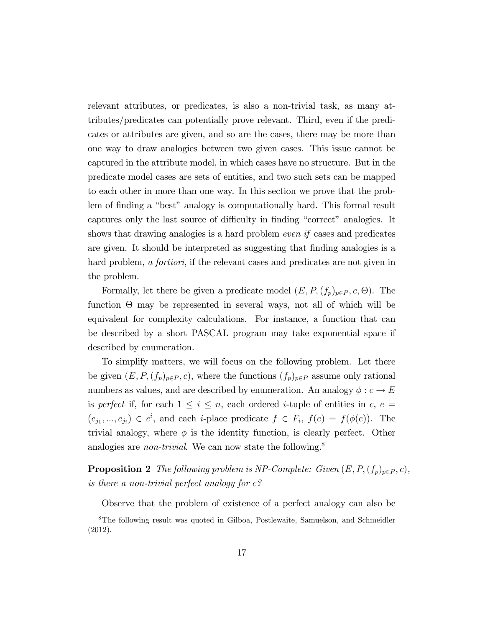relevant attributes, or predicates, is also a non-trivial task, as many attributes/predicates can potentially prove relevant. Third, even if the predicates or attributes are given, and so are the cases, there may be more than one way to draw analogies between two given cases. This issue cannot be captured in the attribute model, in which cases have no structure. But in the predicate model cases are sets of entities, and two such sets can be mapped to each other in more than one way. In this section we prove that the problem of finding a "best" analogy is computationally hard. This formal result captures only the last source of difficulty in finding "correct" analogies. It shows that drawing analogies is a hard problem even if cases and predicates are given. It should be interpreted as suggesting that Önding analogies is a hard problem, *a fortiori*, if the relevant cases and predicates are not given in the problem.

Formally, let there be given a predicate model  $(E, P, (f_p)_{p \in P}, c, \Theta)$ . The function  $\Theta$  may be represented in several ways, not all of which will be equivalent for complexity calculations. For instance, a function that can be described by a short PASCAL program may take exponential space if described by enumeration.

To simplify matters, we will focus on the following problem. Let there be given  $(E, P, (f_p)_{p \in P}, c)$ , where the functions  $(f_p)_{p \in P}$  assume only rational numbers as values, and are described by enumeration. An analogy  $\phi : c \to E$ is perfect if, for each  $1 \leq i \leq n$ , each ordered *i*-tuple of entities in c, e =  $(e_{j_1},...,e_{j_i}) \in c^i$ , and each *i*-place predicate  $f \in F_i$ ,  $f(e) = f(\phi(e))$ . The trivial analogy, where  $\phi$  is the identity function, is clearly perfect. Other analogies are *non-trivial*. We can now state the following.<sup>8</sup>

**Proposition 2** The following problem is NP-Complete: Given  $(E, P, (f_p)_{p \in P}, c)$ , is there a non-trivial perfect analogy for  $c$ ?

Observe that the problem of existence of a perfect analogy can also be

<sup>8</sup>The following result was quoted in Gilboa, Postlewaite, Samuelson, and Schmeidler (2012).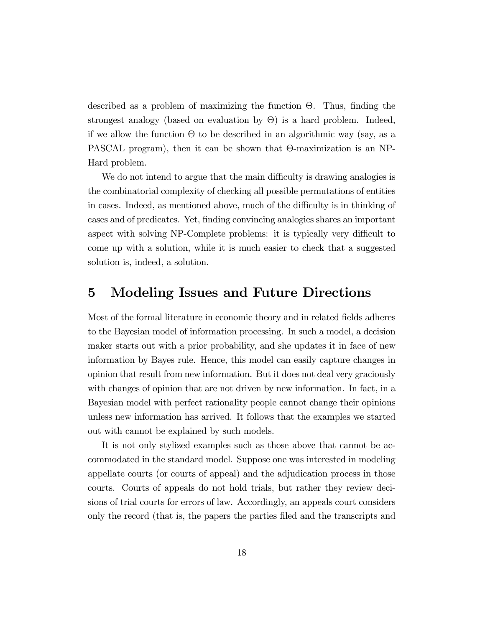described as a problem of maximizing the function  $\Theta$ . Thus, finding the strongest analogy (based on evaluation by  $\Theta$ ) is a hard problem. Indeed, if we allow the function  $\Theta$  to be described in an algorithmic way (say, as a PASCAL program), then it can be shown that  $\Theta$ -maximization is an NP-Hard problem.

We do not intend to argue that the main difficulty is drawing analogies is the combinatorial complexity of checking all possible permutations of entities in cases. Indeed, as mentioned above, much of the difficulty is in thinking of cases and of predicates. Yet, Önding convincing analogies shares an important aspect with solving NP-Complete problems: it is typically very difficult to come up with a solution, while it is much easier to check that a suggested solution is, indeed, a solution.

## 5 Modeling Issues and Future Directions

Most of the formal literature in economic theory and in related fields adheres to the Bayesian model of information processing. In such a model, a decision maker starts out with a prior probability, and she updates it in face of new information by Bayes rule. Hence, this model can easily capture changes in opinion that result from new information. But it does not deal very graciously with changes of opinion that are not driven by new information. In fact, in a Bayesian model with perfect rationality people cannot change their opinions unless new information has arrived. It follows that the examples we started out with cannot be explained by such models.

It is not only stylized examples such as those above that cannot be accommodated in the standard model. Suppose one was interested in modeling appellate courts (or courts of appeal) and the adjudication process in those courts. Courts of appeals do not hold trials, but rather they review decisions of trial courts for errors of law. Accordingly, an appeals court considers only the record (that is, the papers the parties Öled and the transcripts and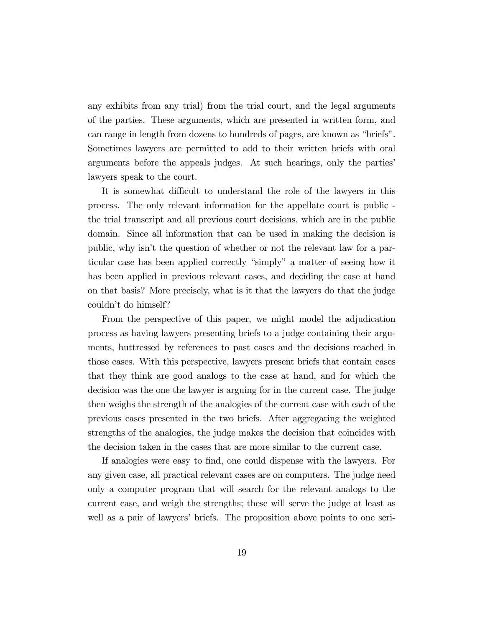any exhibits from any trial) from the trial court, and the legal arguments of the parties. These arguments, which are presented in written form, and can range in length from dozens to hundreds of pages, are known as "briefs". Sometimes lawyers are permitted to add to their written briefs with oral arguments before the appeals judges. At such hearings, only the parties lawyers speak to the court.

It is somewhat difficult to understand the role of the lawyers in this process. The only relevant information for the appellate court is public the trial transcript and all previous court decisions, which are in the public domain. Since all information that can be used in making the decision is public, why isnít the question of whether or not the relevant law for a particular case has been applied correctly "simply" a matter of seeing how it has been applied in previous relevant cases, and deciding the case at hand on that basis? More precisely, what is it that the lawyers do that the judge couldn't do himself?

From the perspective of this paper, we might model the adjudication process as having lawyers presenting briefs to a judge containing their arguments, buttressed by references to past cases and the decisions reached in those cases. With this perspective, lawyers present briefs that contain cases that they think are good analogs to the case at hand, and for which the decision was the one the lawyer is arguing for in the current case. The judge then weighs the strength of the analogies of the current case with each of the previous cases presented in the two briefs. After aggregating the weighted strengths of the analogies, the judge makes the decision that coincides with the decision taken in the cases that are more similar to the current case.

If analogies were easy to find, one could dispense with the lawyers. For any given case, all practical relevant cases are on computers. The judge need only a computer program that will search for the relevant analogs to the current case, and weigh the strengths; these will serve the judge at least as well as a pair of lawyers' briefs. The proposition above points to one seri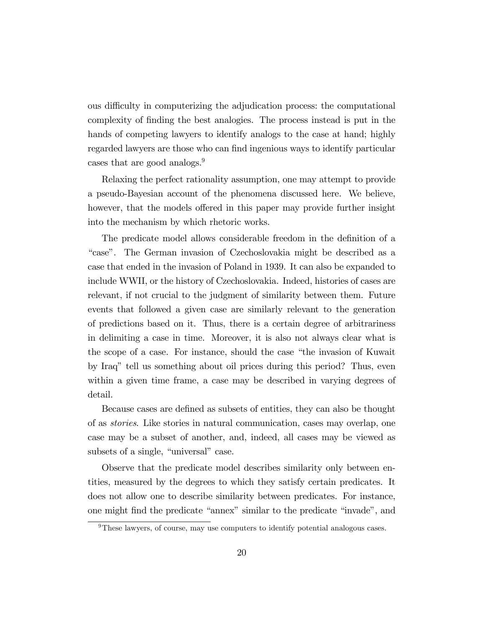ous difficulty in computerizing the adjudication process: the computational complexity of Önding the best analogies. The process instead is put in the hands of competing lawyers to identify analogs to the case at hand; highly regarded lawyers are those who can find ingenious ways to identify particular cases that are good analogs.<sup>9</sup>

Relaxing the perfect rationality assumption, one may attempt to provide a pseudo-Bayesian account of the phenomena discussed here. We believe, however, that the models offered in this paper may provide further insight into the mechanism by which rhetoric works.

The predicate model allows considerable freedom in the definition of a ìcaseî. The German invasion of Czechoslovakia might be described as a case that ended in the invasion of Poland in 1939. It can also be expanded to include WWII, or the history of Czechoslovakia. Indeed, histories of cases are relevant, if not crucial to the judgment of similarity between them. Future events that followed a given case are similarly relevant to the generation of predictions based on it. Thus, there is a certain degree of arbitrariness in delimiting a case in time. Moreover, it is also not always clear what is the scope of a case. For instance, should the case "the invasion of Kuwait by Iraqî tell us something about oil prices during this period? Thus, even within a given time frame, a case may be described in varying degrees of detail.

Because cases are defined as subsets of entities, they can also be thought of as stories. Like stories in natural communication, cases may overlap, one case may be a subset of another, and, indeed, all cases may be viewed as subsets of a single, "universal" case.

Observe that the predicate model describes similarity only between entities, measured by the degrees to which they satisfy certain predicates. It does not allow one to describe similarity between predicates. For instance, one might find the predicate "annex" similar to the predicate "invade", and

<sup>&</sup>lt;sup>9</sup>These lawyers, of course, may use computers to identify potential analogous cases.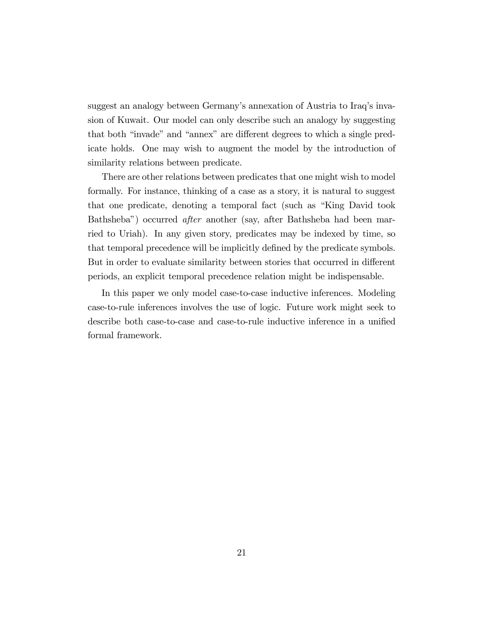suggest an analogy between Germany's annexation of Austria to Iraq's invasion of Kuwait. Our model can only describe such an analogy by suggesting that both "invade" and "annex" are different degrees to which a single predicate holds. One may wish to augment the model by the introduction of similarity relations between predicate.

There are other relations between predicates that one might wish to model formally. For instance, thinking of a case as a story, it is natural to suggest that one predicate, denoting a temporal fact (such as "King David took") Bathsheba") occurred *after* another (say, after Bathsheba had been married to Uriah). In any given story, predicates may be indexed by time, so that temporal precedence will be implicitly defined by the predicate symbols. But in order to evaluate similarity between stories that occurred in different periods, an explicit temporal precedence relation might be indispensable.

In this paper we only model case-to-case inductive inferences. Modeling case-to-rule inferences involves the use of logic. Future work might seek to describe both case-to-case and case-to-rule inductive inference in a unified formal framework.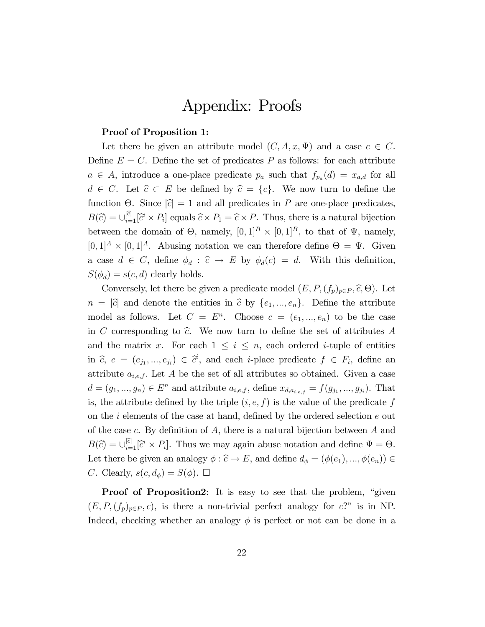## Appendix: Proofs

#### Proof of Proposition 1:

Let there be given an attribute model  $(C, A, x, \Psi)$  and a case  $c \in C$ . Define  $E = C$ . Define the set of predicates P as follows: for each attribute  $a \in A$ , introduce a one-place predicate  $p_a$  such that  $f_{p_a}(d) = x_{a,d}$  for all  $d \in C$ . Let  $\hat{c} \subset E$  be defined by  $\hat{c} = \{c\}$ . We now turn to define the function  $\Theta$ . Since  $|\hat{c}| = 1$  and all predicates in P are one-place predicates,  $B(\hat{c}) = \bigcup_{i=1}^{|\hat{c}|} [\hat{c}^i \times P_i]$  equals  $\hat{c} \times P_1 = \hat{c} \times P$ . Thus, there is a natural bijection between the domain of  $\Theta$ , namely,  $[0,1]^B \times [0,1]^B$ , to that of  $\Psi$ , namely,  $[0,1]^A \times [0,1]^A$ . Abusing notation we can therefore define  $\Theta = \Psi$ . Given a case  $d \in C$ , define  $\phi_d : \hat{c} \to E$  by  $\phi_d(c) = d$ . With this definition,  $S(\phi_d) = s(c, d)$  clearly holds.

Conversely, let there be given a predicate model  $(E, P, (f_p)_{p \in P}, \widehat{c}, \Theta)$ . Let  $n = |\hat{c}|$  and denote the entities in  $\hat{c}$  by  $\{e_1, ..., e_n\}$ . Define the attribute model as follows. Let  $C = E<sup>n</sup>$ . Choose  $c = (e_1, ..., e_n)$  to be the case in C corresponding to  $\hat{c}$ . We now turn to define the set of attributes A and the matrix x. For each  $1 \leq i \leq n$ , each ordered *i*-tuple of entities in  $\hat{c}$ ,  $e = (e_{j_1},...,e_{j_i}) \in \hat{c}^i$ , and each *i*-place predicate  $f \in F_i$ , define an attribute  $a_{i,e,f}$ . Let A be the set of all attributes so obtained. Given a case  $d = (g_1, ..., g_n) \in E^n$  and attribute  $a_{i,e,f}$ , define  $x_{d,a_{i,e,f}} = f(g_{j_1}, ..., g_{j_i})$ . That is, the attribute defined by the triple  $(i, e, f)$  is the value of the predicate f on the i elements of the case at hand, defined by the ordered selection  $e$  out of the case  $c$ . By definition of  $A$ , there is a natural bijection between  $A$  and  $B(\hat{c}) = \bigcup_{i=1}^{|\hat{c}|} [\hat{c}^i \times P_i].$  Thus we may again abuse notation and define  $\Psi = \Theta$ . Let there be given an analogy  $\phi : \widehat{c} \to E$ , and define  $d_{\phi} = (\phi(e_1), ..., \phi(e_n)) \in$ C. Clearly,  $s(c, d_{\phi}) = S(\phi)$ .  $\Box$ 

**Proof of Proposition2**: It is easy to see that the problem, "given  $(E, P, (f_p)_{p \in P}, c)$ , is there a non-trivial perfect analogy for c?" is in NP. Indeed, checking whether an analogy  $\phi$  is perfect or not can be done in a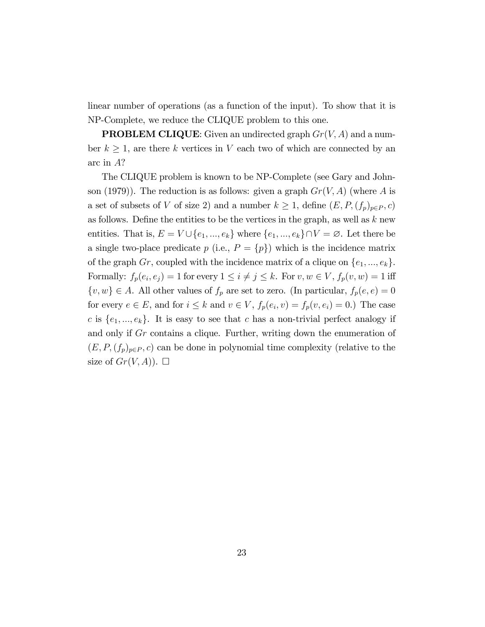linear number of operations (as a function of the input). To show that it is NP-Complete, we reduce the CLIQUE problem to this one.

**PROBLEM CLIQUE:** Given an undirected graph  $Gr(V, A)$  and a number  $k \geq 1$ , are there k vertices in V each two of which are connected by an arc in A?

The CLIQUE problem is known to be NP-Complete (see Gary and Johnson (1979)). The reduction is as follows: given a graph  $Gr(V, A)$  (where A is a set of subsets of V of size 2) and a number  $k \geq 1$ , define  $(E, P, (f_p)_{p \in P}, c)$ as follows. Define the entities to be the vertices in the graph, as well as  $k$  new entities. That is,  $E = V \cup \{e_1, ..., e_k\}$  where  $\{e_1, ..., e_k\} \cap V = \emptyset$ . Let there be a single two-place predicate p (i.e.,  $P = \{p\}$ ) which is the incidence matrix of the graph Gr, coupled with the incidence matrix of a clique on  $\{e_1, ..., e_k\}$ . Formally:  $f_p(e_i, e_j) = 1$  for every  $1 \leq i \neq j \leq k$ . For  $v, w \in V$ ,  $f_p(v, w) = 1$  iff  $\{v, w\} \in A$ . All other values of  $f_p$  are set to zero. (In particular,  $f_p(e, e) = 0$ for every  $e \in E$ , and for  $i \leq k$  and  $v \in V$ ,  $f_p(e_i, v) = f_p(v, e_i) = 0$ .) The case c is  $\{e_1, ..., e_k\}$ . It is easy to see that c has a non-trivial perfect analogy if and only if Gr contains a clique. Further, writing down the enumeration of  $(E, P, (f_p)_{p \in P}, c)$  can be done in polynomial time complexity (relative to the size of  $Gr(V, A)$ .  $\square$